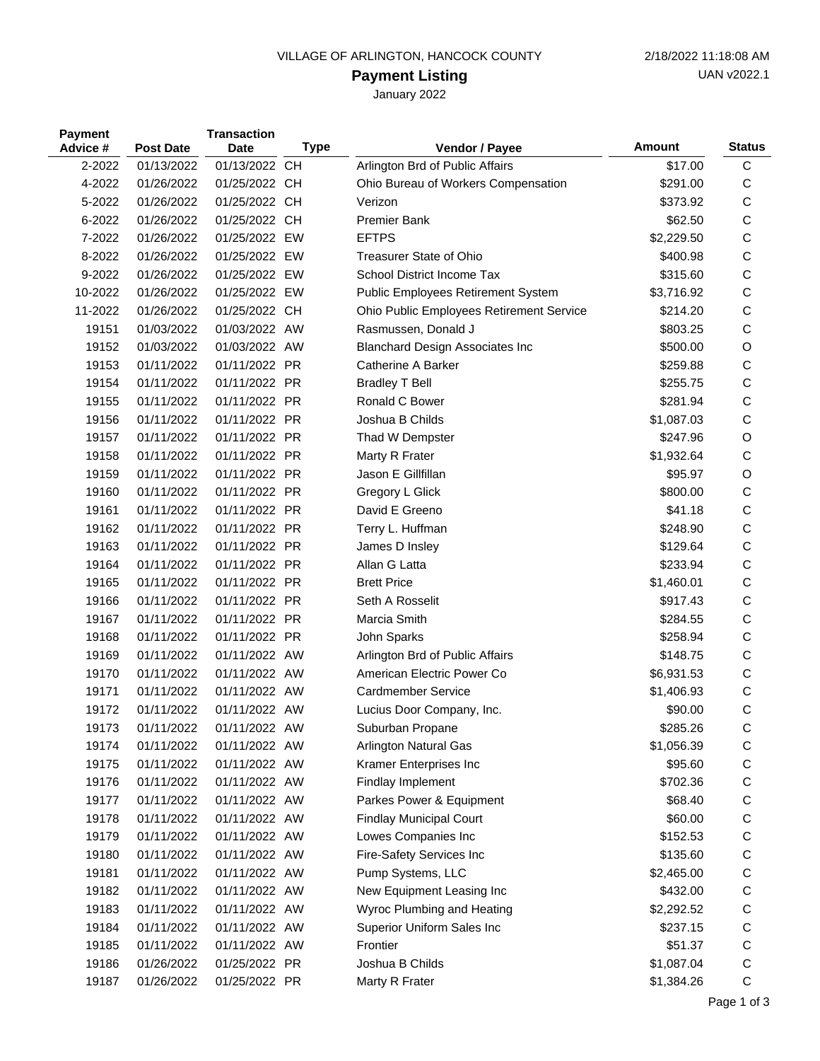### VILLAGE OF ARLINGTON, HANCOCK COUNTY 2/18/2022 11:18:08 AM

# **Payment Listing**

January 2022

| <b>Payment</b><br>Advice # | <b>Post Date</b> | <b>Transaction</b><br><b>Date</b> | <b>Type</b> | Vendor / Payee                           | Amount     | <b>Status</b> |
|----------------------------|------------------|-----------------------------------|-------------|------------------------------------------|------------|---------------|
| 2-2022                     | 01/13/2022       | 01/13/2022 CH                     |             | Arlington Brd of Public Affairs          | \$17.00    | C             |
| 4-2022                     | 01/26/2022       | 01/25/2022 CH                     |             | Ohio Bureau of Workers Compensation      | \$291.00   | C             |
| 5-2022                     | 01/26/2022       | 01/25/2022 CH                     |             | Verizon                                  | \$373.92   | C             |
| 6-2022                     | 01/26/2022       | 01/25/2022 CH                     |             | <b>Premier Bank</b>                      | \$62.50    | $\mathsf{C}$  |
| 7-2022                     | 01/26/2022       | 01/25/2022 EW                     |             | <b>EFTPS</b>                             | \$2,229.50 | C             |
| 8-2022                     | 01/26/2022       | 01/25/2022 EW                     |             | <b>Treasurer State of Ohio</b>           | \$400.98   | $\mathsf{C}$  |
| 9-2022                     | 01/26/2022       | 01/25/2022 EW                     |             | School District Income Tax               | \$315.60   | $\mathsf{C}$  |
| 10-2022                    | 01/26/2022       | 01/25/2022 EW                     |             | Public Employees Retirement System       | \$3,716.92 | $\mathsf{C}$  |
| 11-2022                    | 01/26/2022       | 01/25/2022 CH                     |             | Ohio Public Employees Retirement Service | \$214.20   | C             |
| 19151                      | 01/03/2022       | 01/03/2022 AW                     |             | Rasmussen, Donald J                      | \$803.25   | $\mathsf{C}$  |
| 19152                      | 01/03/2022       | 01/03/2022 AW                     |             | <b>Blanchard Design Associates Inc</b>   | \$500.00   | O             |
| 19153                      | 01/11/2022       | 01/11/2022 PR                     |             | Catherine A Barker                       | \$259.88   | C             |
| 19154                      | 01/11/2022       | 01/11/2022 PR                     |             | <b>Bradley T Bell</b>                    | \$255.75   | C             |
| 19155                      | 01/11/2022       | 01/11/2022 PR                     |             | Ronald C Bower                           | \$281.94   | $\mathsf C$   |
| 19156                      | 01/11/2022       | 01/11/2022 PR                     |             | Joshua B Childs                          | \$1,087.03 | $\mathsf C$   |
| 19157                      | 01/11/2022       | 01/11/2022 PR                     |             | Thad W Dempster                          | \$247.96   | O             |
| 19158                      | 01/11/2022       | 01/11/2022 PR                     |             | Marty R Frater                           | \$1,932.64 | C             |
| 19159                      | 01/11/2022       | 01/11/2022 PR                     |             | Jason E Gillfillan                       | \$95.97    | O             |
| 19160                      | 01/11/2022       | 01/11/2022 PR                     |             | Gregory L Glick                          | \$800.00   | $\mathsf C$   |
| 19161                      | 01/11/2022       | 01/11/2022 PR                     |             | David E Greeno                           | \$41.18    | C             |
| 19162                      | 01/11/2022       | 01/11/2022 PR                     |             | Terry L. Huffman                         | \$248.90   | $\mathsf{C}$  |
| 19163                      | 01/11/2022       | 01/11/2022 PR                     |             | James D Insley                           | \$129.64   | $\mathsf C$   |
| 19164                      | 01/11/2022       | 01/11/2022 PR                     |             | Allan G Latta                            | \$233.94   | $\mathsf C$   |
| 19165                      | 01/11/2022       | 01/11/2022 PR                     |             | <b>Brett Price</b>                       | \$1,460.01 | $\mathsf{C}$  |
| 19166                      | 01/11/2022       | 01/11/2022 PR                     |             | Seth A Rosselit                          | \$917.43   | C             |
| 19167                      | 01/11/2022       | 01/11/2022 PR                     |             | Marcia Smith                             | \$284.55   | C             |
| 19168                      | 01/11/2022       | 01/11/2022 PR                     |             | John Sparks                              | \$258.94   | $\mathsf C$   |
| 19169                      | 01/11/2022       | 01/11/2022 AW                     |             | Arlington Brd of Public Affairs          | \$148.75   | $\mathsf{C}$  |
| 19170                      | 01/11/2022       | 01/11/2022 AW                     |             | American Electric Power Co               | \$6,931.53 | C             |
| 19171                      | 01/11/2022       | 01/11/2022 AW                     |             | <b>Cardmember Service</b>                | \$1,406.93 | C             |
| 19172                      | 01/11/2022       | 01/11/2022 AW                     |             | Lucius Door Company, Inc.                | \$90.00    | $\mathsf C$   |
| 19173                      | 01/11/2022       | 01/11/2022 AW                     |             | Suburban Propane                         | \$285.26   | С             |
| 19174                      | 01/11/2022       | 01/11/2022 AW                     |             | Arlington Natural Gas                    | \$1,056.39 | C             |
| 19175                      | 01/11/2022       | 01/11/2022 AW                     |             | Kramer Enterprises Inc                   | \$95.60    | C             |
| 19176                      | 01/11/2022       | 01/11/2022 AW                     |             | Findlay Implement                        | \$702.36   | C             |
| 19177                      | 01/11/2022       | 01/11/2022 AW                     |             | Parkes Power & Equipment                 | \$68.40    | C             |
| 19178                      | 01/11/2022       | 01/11/2022 AW                     |             | <b>Findlay Municipal Court</b>           | \$60.00    | C             |
| 19179                      | 01/11/2022       | 01/11/2022 AW                     |             | Lowes Companies Inc                      | \$152.53   | C             |
| 19180                      | 01/11/2022       | 01/11/2022 AW                     |             | Fire-Safety Services Inc                 | \$135.60   | C             |
| 19181                      | 01/11/2022       | 01/11/2022 AW                     |             | Pump Systems, LLC                        | \$2,465.00 | C             |
| 19182                      | 01/11/2022       | 01/11/2022 AW                     |             | New Equipment Leasing Inc                | \$432.00   | C             |
| 19183                      | 01/11/2022       | 01/11/2022 AW                     |             | Wyroc Plumbing and Heating               | \$2,292.52 | C             |
| 19184                      | 01/11/2022       | 01/11/2022 AW                     |             | Superior Uniform Sales Inc               | \$237.15   | $\mathsf{C}$  |
| 19185                      | 01/11/2022       | 01/11/2022 AW                     |             | Frontier                                 | \$51.37    | C             |
| 19186                      | 01/26/2022       | 01/25/2022 PR                     |             | Joshua B Childs                          | \$1,087.04 | C             |
| 19187                      | 01/26/2022       | 01/25/2022 PR                     |             | Marty R Frater                           | \$1,384.26 | $\mathsf C$   |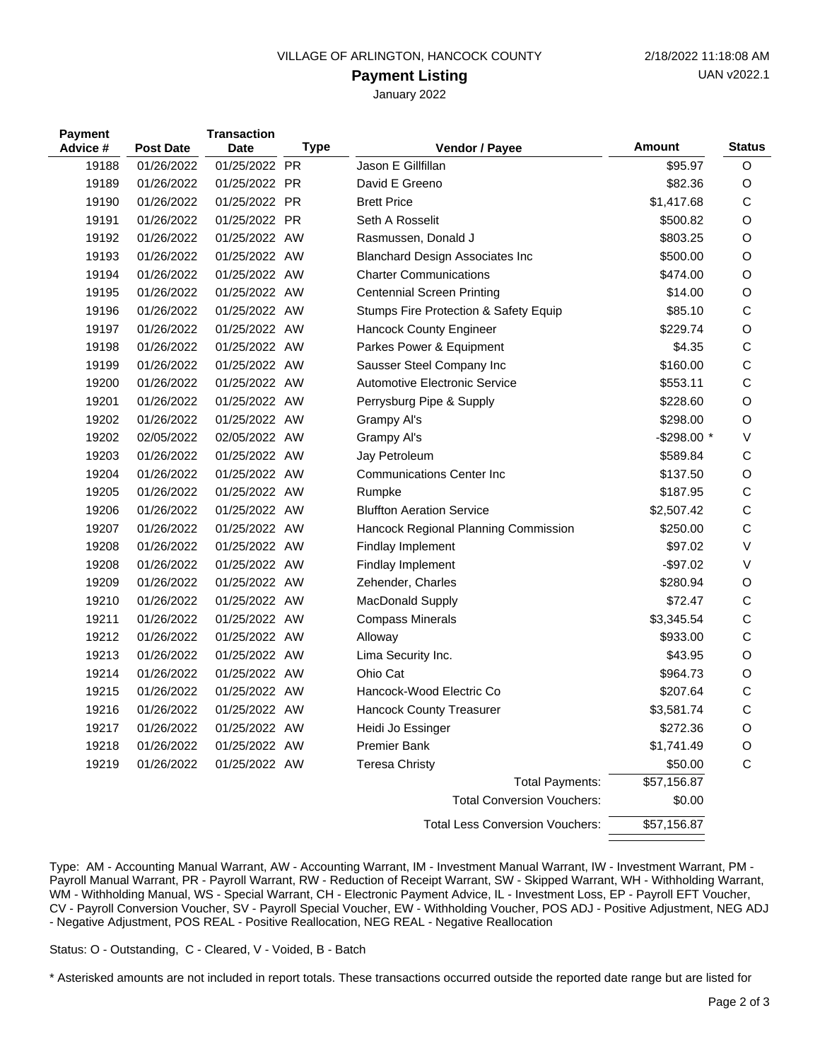#### VILLAGE OF ARLINGTON, HANCOCK COUNTY 2/18/2022 11:18:08 AM

#### **Payment Listing**

January 2022

| <b>Payment</b><br>Advice # | <b>Post Date</b> | <b>Transaction</b><br><b>Date</b> | <b>Type</b> | <b>Vendor / Payee</b>                  | <b>Amount</b> | <b>Status</b> |
|----------------------------|------------------|-----------------------------------|-------------|----------------------------------------|---------------|---------------|
| 19188                      | 01/26/2022       | 01/25/2022 PR                     |             | Jason E Gillfillan                     | \$95.97       | O             |
| 19189                      | 01/26/2022       | 01/25/2022 PR                     |             | David E Greeno                         | \$82.36       | O             |
| 19190                      | 01/26/2022       | 01/25/2022 PR                     |             | <b>Brett Price</b>                     | \$1,417.68    | C             |
| 19191                      | 01/26/2022       | 01/25/2022 PR                     |             | Seth A Rosselit                        | \$500.82      | O             |
| 19192                      | 01/26/2022       | 01/25/2022 AW                     |             | Rasmussen, Donald J                    | \$803.25      | O             |
| 19193                      | 01/26/2022       | 01/25/2022 AW                     |             | <b>Blanchard Design Associates Inc</b> | \$500.00      | O             |
| 19194                      | 01/26/2022       | 01/25/2022 AW                     |             | <b>Charter Communications</b>          | \$474.00      | O             |
| 19195                      | 01/26/2022       | 01/25/2022 AW                     |             | <b>Centennial Screen Printing</b>      | \$14.00       | O             |
| 19196                      | 01/26/2022       | 01/25/2022 AW                     |             | Stumps Fire Protection & Safety Equip  | \$85.10       | C             |
| 19197                      | 01/26/2022       | 01/25/2022 AW                     |             | Hancock County Engineer                | \$229.74      | O             |
| 19198                      | 01/26/2022       | 01/25/2022 AW                     |             | Parkes Power & Equipment               | \$4.35        | C             |
| 19199                      | 01/26/2022       | 01/25/2022 AW                     |             | Sausser Steel Company Inc              | \$160.00      | С             |
| 19200                      | 01/26/2022       | 01/25/2022 AW                     |             | <b>Automotive Electronic Service</b>   | \$553.11      | C             |
| 19201                      | 01/26/2022       | 01/25/2022 AW                     |             | Perrysburg Pipe & Supply               | \$228.60      | O             |
| 19202                      | 01/26/2022       | 01/25/2022 AW                     |             | Grampy Al's                            | \$298.00      | O             |
| 19202                      | 02/05/2022       | 02/05/2022 AW                     |             | Grampy Al's                            | -\$298.00 *   | $\vee$        |
| 19203                      | 01/26/2022       | 01/25/2022 AW                     |             | Jay Petroleum                          | \$589.84      | C             |
| 19204                      | 01/26/2022       | 01/25/2022 AW                     |             | <b>Communications Center Inc</b>       | \$137.50      | O             |
| 19205                      | 01/26/2022       | 01/25/2022 AW                     |             | Rumpke                                 | \$187.95      | C             |
| 19206                      | 01/26/2022       | 01/25/2022 AW                     |             | <b>Bluffton Aeration Service</b>       | \$2,507.42    | C             |
| 19207                      | 01/26/2022       | 01/25/2022 AW                     |             | Hancock Regional Planning Commission   | \$250.00      | C             |
| 19208                      | 01/26/2022       | 01/25/2022 AW                     |             | Findlay Implement                      | \$97.02       | $\vee$        |
| 19208                      | 01/26/2022       | 01/25/2022 AW                     |             | Findlay Implement                      | $-$97.02$     | $\vee$        |
| 19209                      | 01/26/2022       | 01/25/2022 AW                     |             | Zehender, Charles                      | \$280.94      | O             |
| 19210                      | 01/26/2022       | 01/25/2022 AW                     |             | MacDonald Supply                       | \$72.47       | C             |
| 19211                      | 01/26/2022       | 01/25/2022 AW                     |             | <b>Compass Minerals</b>                | \$3,345.54    | C             |
| 19212                      | 01/26/2022       | 01/25/2022 AW                     |             | Alloway                                | \$933.00      | $\mathsf{C}$  |
| 19213                      | 01/26/2022       | 01/25/2022 AW                     |             | Lima Security Inc.                     | \$43.95       | O             |
| 19214                      | 01/26/2022       | 01/25/2022 AW                     |             | Ohio Cat                               | \$964.73      | O             |
| 19215                      | 01/26/2022       | 01/25/2022 AW                     |             | Hancock-Wood Electric Co               | \$207.64      | C             |
| 19216                      | 01/26/2022       | 01/25/2022 AW                     |             | <b>Hancock County Treasurer</b>        | \$3,581.74    | $\mathsf{C}$  |
| 19217                      | 01/26/2022       | 01/25/2022 AW                     |             | Heidi Jo Essinger                      | \$272.36      | O             |
| 19218                      | 01/26/2022       | 01/25/2022 AW                     |             | <b>Premier Bank</b>                    | \$1,741.49    | O             |
| 19219                      | 01/26/2022       | 01/25/2022 AW                     |             | <b>Teresa Christy</b>                  | \$50.00       | C             |
|                            |                  |                                   |             | <b>Total Payments:</b>                 | \$57,156.87   |               |
|                            |                  |                                   |             | <b>Total Conversion Vouchers:</b>      | \$0.00        |               |
|                            |                  |                                   |             | <b>Total Less Conversion Vouchers:</b> | \$57,156.87   |               |

Type: AM - Accounting Manual Warrant, AW - Accounting Warrant, IM - Investment Manual Warrant, IW - Investment Warrant, PM - Payroll Manual Warrant, PR - Payroll Warrant, RW - Reduction of Receipt Warrant, SW - Skipped Warrant, WH - Withholding Warrant, WM - Withholding Manual, WS - Special Warrant, CH - Electronic Payment Advice, IL - Investment Loss, EP - Payroll EFT Voucher, CV - Payroll Conversion Voucher, SV - Payroll Special Voucher, EW - Withholding Voucher, POS ADJ - Positive Adjustment, NEG ADJ - Negative Adjustment, POS REAL - Positive Reallocation, NEG REAL - Negative Reallocation

Status: O - Outstanding, C - Cleared, V - Voided, B - Batch

\* Asterisked amounts are not included in report totals. These transactions occurred outside the reported date range but are listed for